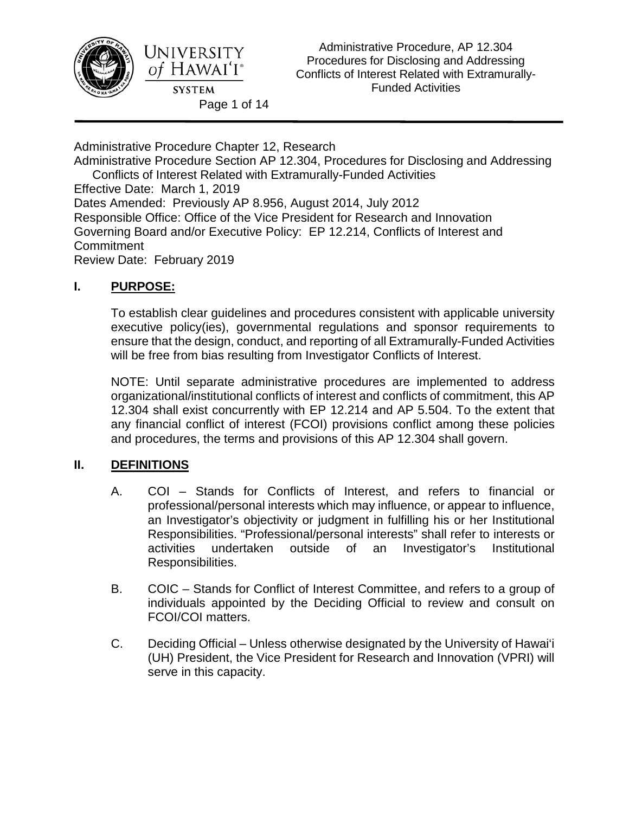

Administrative Procedure Chapter 12, Research

Administrative Procedure Section AP 12.304, Procedures for Disclosing and Addressing Conflicts of Interest Related with Extramurally-Funded Activities Effective Date: March 1, 2019 Dates Amended: Previously AP 8.956, August 2014, July 2012 Responsible Office: Office of the Vice President for Research and Innovation Governing Board and/or Executive Policy: EP 12.214, Conflicts of Interest and **Commitment** 

Review Date: February 2019

# **I. PURPOSE:**

To establish clear guidelines and procedures consistent with applicable university executive policy(ies), governmental regulations and sponsor requirements to ensure that the design, conduct, and reporting of all Extramurally-Funded Activities will be free from bias resulting from Investigator Conflicts of Interest.

NOTE: Until separate administrative procedures are implemented to address organizational/institutional conflicts of interest and conflicts of commitment, this AP 12.304 shall exist concurrently with EP 12.214 and AP 5.504. To the extent that any financial conflict of interest (FCOI) provisions conflict among these policies and procedures, the terms and provisions of this AP 12.304 shall govern.

## **II. DEFINITIONS**

- A. COI Stands for Conflicts of Interest, and refers to financial or professional/personal interests which may influence, or appear to influence, an Investigator's objectivity or judgment in fulfilling his or her Institutional Responsibilities. "Professional/personal interests" shall refer to interests or activities undertaken outside of an Investigator's Institutional Responsibilities.
- B. COIC Stands for Conflict of Interest Committee, and refers to a group of individuals appointed by the Deciding Official to review and consult on FCOI/COI matters.
- C. Deciding Official Unless otherwise designated by the University of Hawai'i (UH) President, the Vice President for Research and Innovation (VPRI) will serve in this capacity.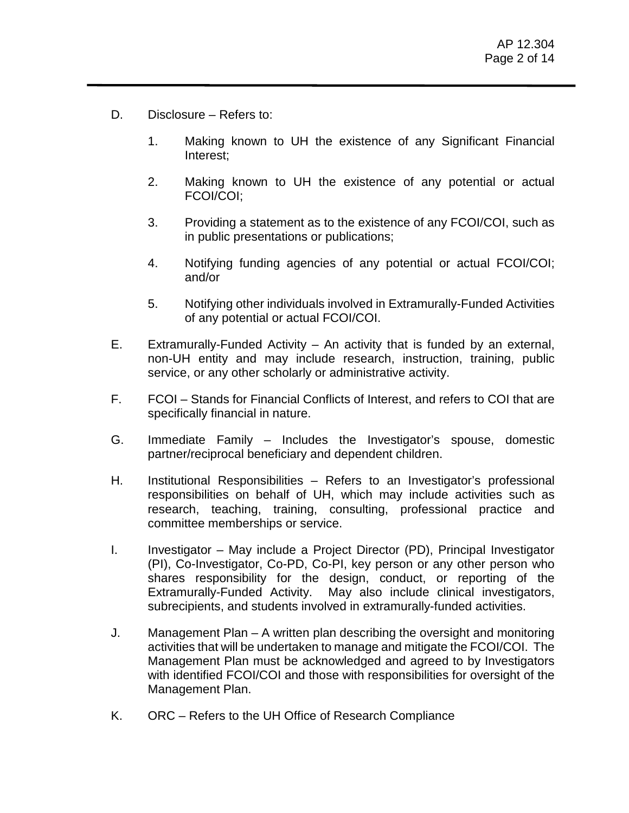- D. Disclosure Refers to:
	- 1. Making known to UH the existence of any Significant Financial Interest;
	- 2. Making known to UH the existence of any potential or actual FCOI/COI;
	- 3. Providing a statement as to the existence of any FCOI/COI, such as in public presentations or publications;
	- 4. Notifying funding agencies of any potential or actual FCOI/COI; and/or
	- 5. Notifying other individuals involved in Extramurally-Funded Activities of any potential or actual FCOI/COI.
- E. Extramurally-Funded Activity An activity that is funded by an external, non-UH entity and may include research, instruction, training, public service, or any other scholarly or administrative activity.
- F. FCOI Stands for Financial Conflicts of Interest, and refers to COI that are specifically financial in nature.
- G. Immediate Family Includes the Investigator's spouse, domestic partner/reciprocal beneficiary and dependent children.
- H. Institutional Responsibilities Refers to an Investigator's professional responsibilities on behalf of UH, which may include activities such as research, teaching, training, consulting, professional practice and committee memberships or service.
- I. Investigator May include a Project Director (PD), Principal Investigator (PI), Co-Investigator, Co-PD, Co-PI, key person or any other person who shares responsibility for the design, conduct, or reporting of the Extramurally-Funded Activity. May also include clinical investigators, subrecipients, and students involved in extramurally-funded activities.
- J. Management Plan A written plan describing the oversight and monitoring activities that will be undertaken to manage and mitigate the FCOI/COI. The Management Plan must be acknowledged and agreed to by Investigators with identified FCOI/COI and those with responsibilities for oversight of the Management Plan.
- K. ORC Refers to the UH Office of Research Compliance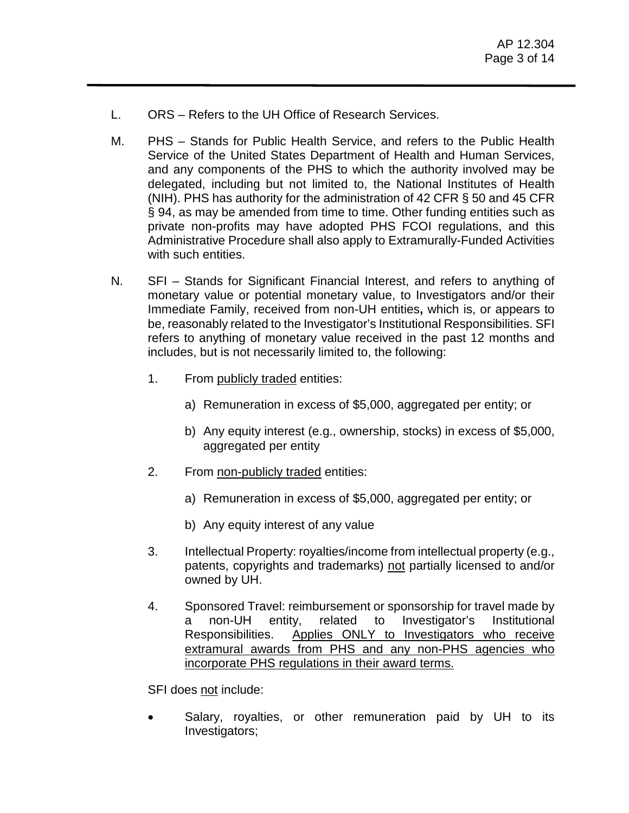- L. ORS Refers to the UH Office of Research Services.
- M. PHS Stands for Public Health Service, and refers to the Public Health Service of the United States Department of Health and Human Services, and any components of the PHS to which the authority involved may be delegated, including but not limited to, the National Institutes of Health (NIH). PHS has authority for the administration of 42 CFR § 50 and 45 CFR § 94, as may be amended from time to time. Other funding entities such as private non-profits may have adopted PHS FCOI regulations, and this Administrative Procedure shall also apply to Extramurally-Funded Activities with such entities.
- N. SFI Stands for Significant Financial Interest, and refers to anything of monetary value or potential monetary value, to Investigators and/or their Immediate Family, received from non-UH entities**,** which is, or appears to be, reasonably related to the Investigator's Institutional Responsibilities. SFI refers to anything of monetary value received in the past 12 months and includes, but is not necessarily limited to, the following:
	- 1. From publicly traded entities:
		- a) Remuneration in excess of \$5,000, aggregated per entity; or
		- b) Any equity interest (e.g., ownership, stocks) in excess of \$5,000, aggregated per entity
	- 2. From non-publicly traded entities:
		- a) Remuneration in excess of \$5,000, aggregated per entity; or
		- b) Any equity interest of any value
	- 3. Intellectual Property: royalties/income from intellectual property (e.g., patents, copyrights and trademarks) not partially licensed to and/or owned by UH.
	- 4. Sponsored Travel: reimbursement or sponsorship for travel made by a non-UH entity, related to Investigator's Institutional Responsibilities. Applies ONLY to Investigators who receive extramural awards from PHS and any non-PHS agencies who incorporate PHS regulations in their award terms.

SFI does not include:

Salary, royalties, or other remuneration paid by UH to its Investigators;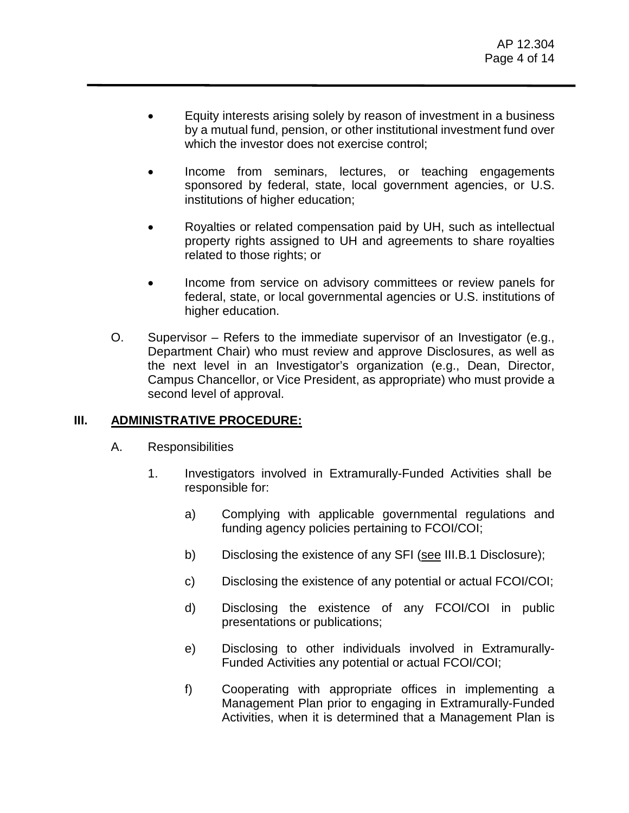- Equity interests arising solely by reason of investment in a business by a mutual fund, pension, or other institutional investment fund over which the investor does not exercise control;
- Income from seminars, lectures, or teaching engagements sponsored by federal, state, local government agencies, or U.S. institutions of higher education;
- Royalties or related compensation paid by UH, such as intellectual property rights assigned to UH and agreements to share royalties related to those rights; or
- Income from service on advisory committees or review panels for federal, state, or local governmental agencies or U.S. institutions of higher education.
- O. Supervisor Refers to the immediate supervisor of an Investigator (e.g., Department Chair) who must review and approve Disclosures, as well as the next level in an Investigator's organization (e.g., Dean, Director, Campus Chancellor, or Vice President, as appropriate) who must provide a second level of approval.

#### **III. ADMINISTRATIVE PROCEDURE:**

- A. Responsibilities
	- 1. Investigators involved in Extramurally-Funded Activities shall be responsible for:
		- a) Complying with applicable governmental regulations and funding agency policies pertaining to FCOI/COI;
		- b) Disclosing the existence of any SFI (see III.B.1 Disclosure);
		- c) Disclosing the existence of any potential or actual FCOI/COI;
		- d) Disclosing the existence of any FCOI/COI in public presentations or publications;
		- e) Disclosing to other individuals involved in Extramurally-Funded Activities any potential or actual FCOI/COI;
		- f) Cooperating with appropriate offices in implementing a Management Plan prior to engaging in Extramurally-Funded Activities, when it is determined that a Management Plan is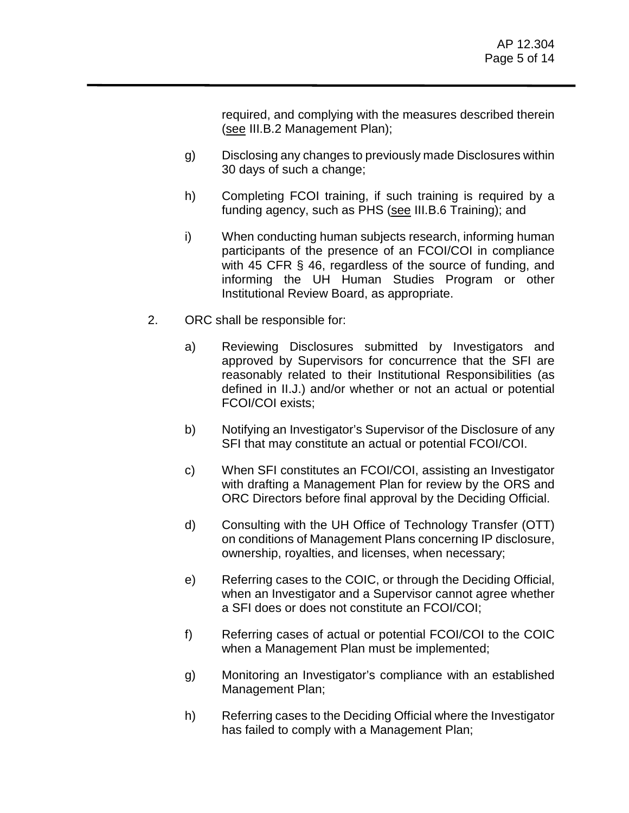required, and complying with the measures described therein (see III.B.2 Management Plan);

- g) Disclosing any changes to previously made Disclosures within 30 days of such a change;
- h) Completing FCOI training, if such training is required by a funding agency, such as PHS (see III.B.6 Training); and
- i) When conducting human subjects research, informing human participants of the presence of an FCOI/COI in compliance with 45 CFR § 46, regardless of the source of funding, and informing the UH Human Studies Program or other Institutional Review Board, as appropriate.
- 2. ORC shall be responsible for:
	- a) Reviewing Disclosures submitted by Investigators and approved by Supervisors for concurrence that the SFI are reasonably related to their Institutional Responsibilities (as defined in II.J.) and/or whether or not an actual or potential FCOI/COI exists;
	- b) Notifying an Investigator's Supervisor of the Disclosure of any SFI that may constitute an actual or potential FCOI/COI.
	- c) When SFI constitutes an FCOI/COI, assisting an Investigator with drafting a Management Plan for review by the ORS and ORC Directors before final approval by the Deciding Official.
	- d) Consulting with the UH Office of Technology Transfer (OTT) on conditions of Management Plans concerning IP disclosure, ownership, royalties, and licenses, when necessary;
	- e) Referring cases to the COIC, or through the Deciding Official, when an Investigator and a Supervisor cannot agree whether a SFI does or does not constitute an FCOI/COI;
	- f) Referring cases of actual or potential FCOI/COI to the COIC when a Management Plan must be implemented;
	- g) Monitoring an Investigator's compliance with an established Management Plan;
	- h) Referring cases to the Deciding Official where the Investigator has failed to comply with a Management Plan;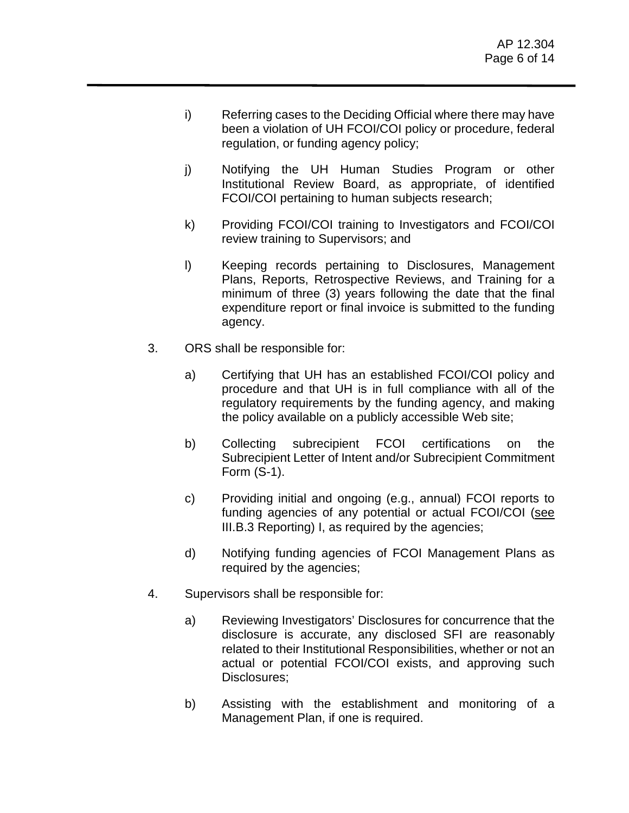- i) Referring cases to the Deciding Official where there may have been a violation of UH FCOI/COI policy or procedure, federal regulation, or funding agency policy;
- j) Notifying the UH Human Studies Program or other Institutional Review Board, as appropriate, of identified FCOI/COI pertaining to human subjects research;
- k) Providing FCOI/COI training to Investigators and FCOI/COI review training to Supervisors; and
- l) Keeping records pertaining to Disclosures, Management Plans, Reports, Retrospective Reviews, and Training for a minimum of three (3) years following the date that the final expenditure report or final invoice is submitted to the funding agency.
- 3. ORS shall be responsible for:
	- a) Certifying that UH has an established FCOI/COI policy and procedure and that UH is in full compliance with all of the regulatory requirements by the funding agency, and making the policy available on a publicly accessible Web site;
	- b) Collecting subrecipient FCOI certifications on the Subrecipient Letter of Intent and/or Subrecipient Commitment Form (S-1).
	- c) Providing initial and ongoing (e.g., annual) FCOI reports to funding agencies of any potential or actual FCOI/COI (see III.B.3 Reporting) I, as required by the agencies;
	- d) Notifying funding agencies of FCOI Management Plans as required by the agencies;
- 4. Supervisors shall be responsible for:
	- a) Reviewing Investigators' Disclosures for concurrence that the disclosure is accurate, any disclosed SFI are reasonably related to their Institutional Responsibilities, whether or not an actual or potential FCOI/COI exists, and approving such Disclosures;
	- b) Assisting with the establishment and monitoring of a Management Plan, if one is required.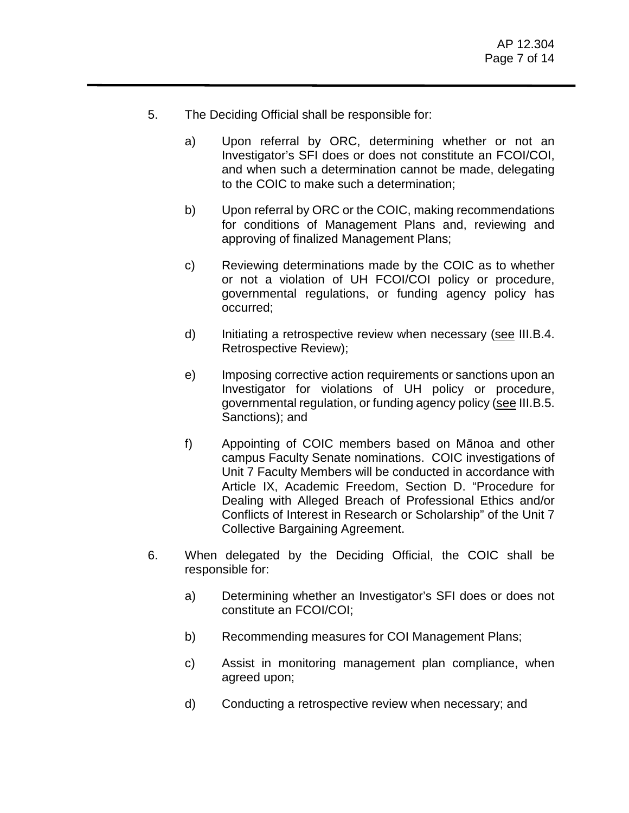- 5. The Deciding Official shall be responsible for:
	- a) Upon referral by ORC, determining whether or not an Investigator's SFI does or does not constitute an FCOI/COI, and when such a determination cannot be made, delegating to the COIC to make such a determination;
	- b) Upon referral by ORC or the COIC, making recommendations for conditions of Management Plans and, reviewing and approving of finalized Management Plans;
	- c) Reviewing determinations made by the COIC as to whether or not a violation of UH FCOI/COI policy or procedure, governmental regulations, or funding agency policy has occurred;
	- d) Initiating a retrospective review when necessary (see III.B.4. Retrospective Review);
	- e) Imposing corrective action requirements or sanctions upon an Investigator for violations of UH policy or procedure, governmental regulation, or funding agency policy (see III.B.5. Sanctions); and
	- f) Appointing of COIC members based on Mānoa and other campus Faculty Senate nominations. COIC investigations of Unit 7 Faculty Members will be conducted in accordance with Article IX, Academic Freedom, Section D. "Procedure for Dealing with Alleged Breach of Professional Ethics and/or Conflicts of Interest in Research or Scholarship" of the Unit 7 Collective Bargaining Agreement.
- 6. When delegated by the Deciding Official, the COIC shall be responsible for:
	- a) Determining whether an Investigator's SFI does or does not constitute an FCOI/COI;
	- b) Recommending measures for COI Management Plans;
	- c) Assist in monitoring management plan compliance, when agreed upon;
	- d) Conducting a retrospective review when necessary; and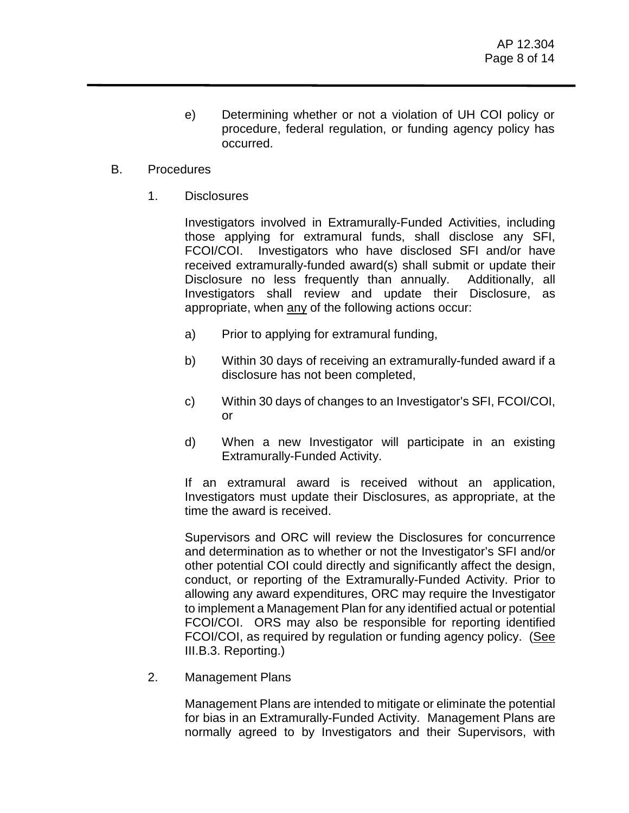- e) Determining whether or not a violation of UH COI policy or procedure, federal regulation, or funding agency policy has occurred.
- B. Procedures
	- 1. Disclosures

Investigators involved in Extramurally-Funded Activities, including those applying for extramural funds, shall disclose any SFI, FCOI/COI. Investigators who have disclosed SFI and/or have received extramurally-funded award(s) shall submit or update their Disclosure no less frequently than annually. Additionally, all Investigators shall review and update their Disclosure, as appropriate, when any of the following actions occur:

- a) Prior to applying for extramural funding,
- b) Within 30 days of receiving an extramurally-funded award if a disclosure has not been completed,
- c) Within 30 days of changes to an Investigator's SFI, FCOI/COI, or
- d) When a new Investigator will participate in an existing Extramurally-Funded Activity.

If an extramural award is received without an application, Investigators must update their Disclosures, as appropriate, at the time the award is received.

Supervisors and ORC will review the Disclosures for concurrence and determination as to whether or not the Investigator's SFI and/or other potential COI could directly and significantly affect the design, conduct, or reporting of the Extramurally-Funded Activity. Prior to allowing any award expenditures, ORC may require the Investigator to implement a Management Plan for any identified actual or potential FCOI/COI. ORS may also be responsible for reporting identified FCOI/COI, as required by regulation or funding agency policy. (See III.B.3. Reporting.)

2. Management Plans

Management Plans are intended to mitigate or eliminate the potential for bias in an Extramurally-Funded Activity. Management Plans are normally agreed to by Investigators and their Supervisors, with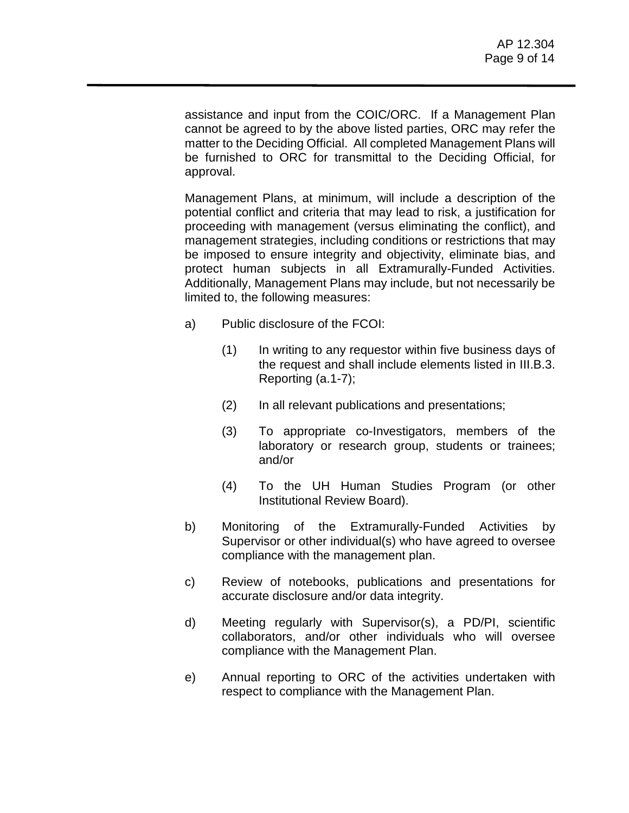assistance and input from the COIC/ORC. If a Management Plan cannot be agreed to by the above listed parties, ORC may refer the matter to the Deciding Official. All completed Management Plans will be furnished to ORC for transmittal to the Deciding Official, for approval.

Management Plans, at minimum, will include a description of the potential conflict and criteria that may lead to risk, a justification for proceeding with management (versus eliminating the conflict), and management strategies, including conditions or restrictions that may be imposed to ensure integrity and objectivity, eliminate bias, and protect human subjects in all Extramurally-Funded Activities. Additionally, Management Plans may include, but not necessarily be limited to, the following measures:

- a) Public disclosure of the FCOI:
	- (1) In writing to any requestor within five business days of the request and shall include elements listed in III.B.3. Reporting (a.1-7);
	- (2) In all relevant publications and presentations;
	- (3) To appropriate co-Investigators, members of the laboratory or research group, students or trainees; and/or
	- (4) To the UH Human Studies Program (or other Institutional Review Board).
- b) Monitoring of the Extramurally-Funded Activities by Supervisor or other individual(s) who have agreed to oversee compliance with the management plan.
- c) Review of notebooks, publications and presentations for accurate disclosure and/or data integrity.
- d) Meeting regularly with Supervisor(s), a PD/PI, scientific collaborators, and/or other individuals who will oversee compliance with the Management Plan.
- e) Annual reporting to ORC of the activities undertaken with respect to compliance with the Management Plan.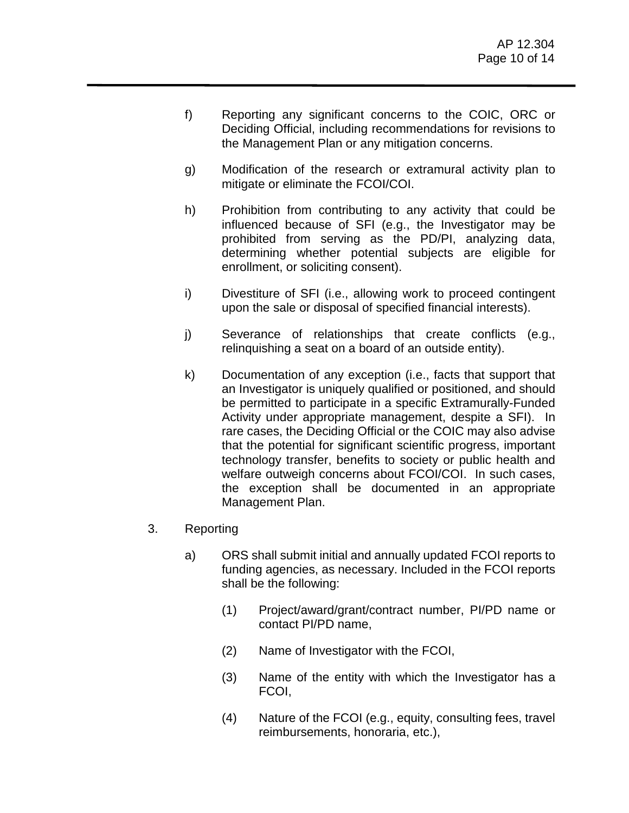- f) Reporting any significant concerns to the COIC, ORC or Deciding Official, including recommendations for revisions to the Management Plan or any mitigation concerns.
- g) Modification of the research or extramural activity plan to mitigate or eliminate the FCOI/COI.
- h) Prohibition from contributing to any activity that could be influenced because of SFI (e.g., the Investigator may be prohibited from serving as the PD/PI, analyzing data, determining whether potential subjects are eligible for enrollment, or soliciting consent).
- i) Divestiture of SFI (i.e., allowing work to proceed contingent upon the sale or disposal of specified financial interests).
- j) Severance of relationships that create conflicts (e.g., relinquishing a seat on a board of an outside entity).
- k) Documentation of any exception (i.e., facts that support that an Investigator is uniquely qualified or positioned, and should be permitted to participate in a specific Extramurally-Funded Activity under appropriate management, despite a SFI). In rare cases, the Deciding Official or the COIC may also advise that the potential for significant scientific progress, important technology transfer, benefits to society or public health and welfare outweigh concerns about FCOI/COI. In such cases, the exception shall be documented in an appropriate Management Plan.
- 3. Reporting
	- a) ORS shall submit initial and annually updated FCOI reports to funding agencies, as necessary. Included in the FCOI reports shall be the following:
		- (1) Project/award/grant/contract number, PI/PD name or contact PI/PD name,
		- (2) Name of Investigator with the FCOI,
		- (3) Name of the entity with which the Investigator has a FCOI,
		- (4) Nature of the FCOI (e.g., equity, consulting fees, travel reimbursements, honoraria, etc.),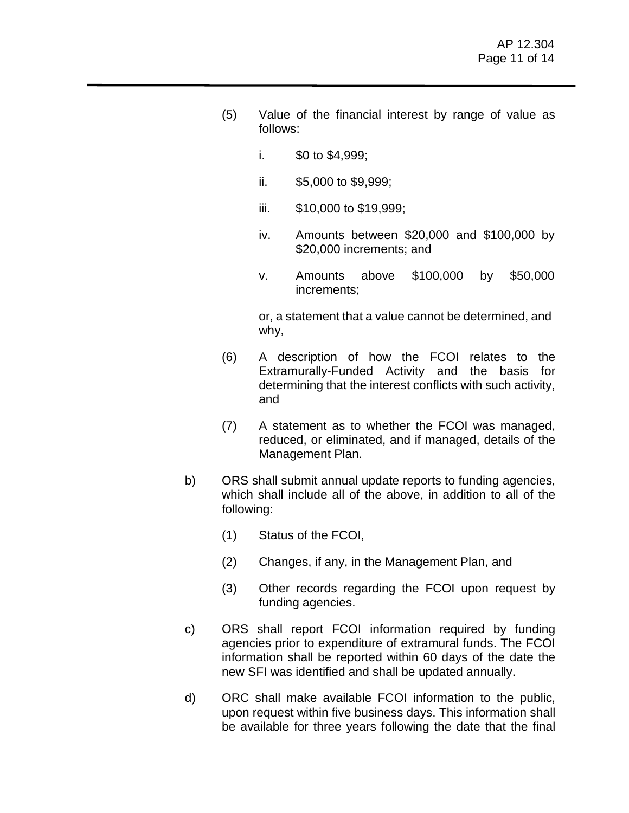- (5) Value of the financial interest by range of value as follows:
	- i.  $$0 \text{ to } $4,999$ ;
	- ii. \$5,000 to \$9,999;
	- iii. \$10,000 to \$19,999;
	- iv. Amounts between \$20,000 and \$100,000 by \$20,000 increments; and
	- v. Amounts above \$100,000 by \$50,000 increments;

or, a statement that a value cannot be determined, and why,

- (6) A description of how the FCOI relates to the Extramurally-Funded Activity and the basis for determining that the interest conflicts with such activity, and
- (7) A statement as to whether the FCOI was managed, reduced, or eliminated, and if managed, details of the Management Plan.
- b) ORS shall submit annual update reports to funding agencies, which shall include all of the above, in addition to all of the following:
	- (1) Status of the FCOI,
	- (2) Changes, if any, in the Management Plan, and
	- (3) Other records regarding the FCOI upon request by funding agencies.
- c) ORS shall report FCOI information required by funding agencies prior to expenditure of extramural funds. The FCOI information shall be reported within 60 days of the date the new SFI was identified and shall be updated annually.
- d) ORC shall make available FCOI information to the public, upon request within five business days. This information shall be available for three years following the date that the final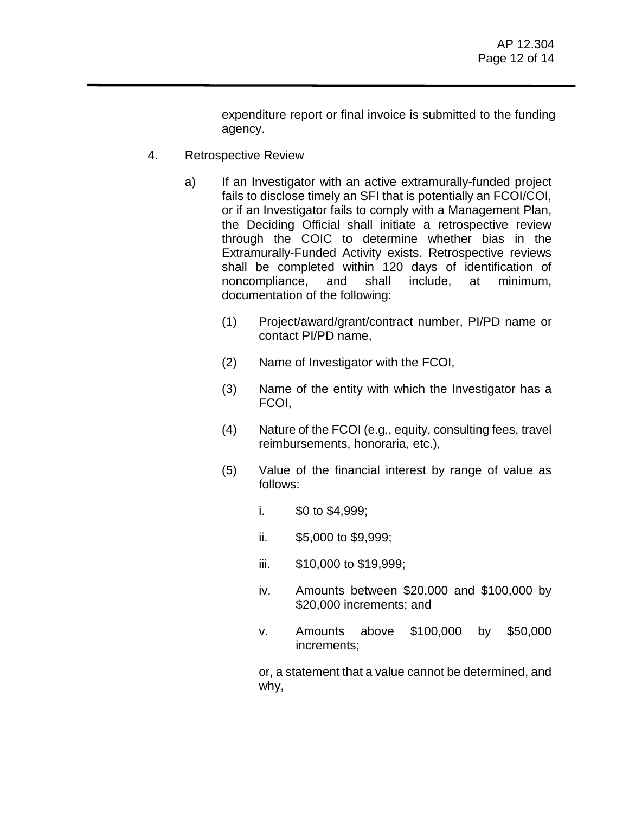expenditure report or final invoice is submitted to the funding agency.

- 4. Retrospective Review
	- a) If an Investigator with an active extramurally-funded project fails to disclose timely an SFI that is potentially an FCOI/COI, or if an Investigator fails to comply with a Management Plan, the Deciding Official shall initiate a retrospective review through the COIC to determine whether bias in the Extramurally-Funded Activity exists. Retrospective reviews shall be completed within 120 days of identification of noncompliance, and shall include, at minimum, documentation of the following:
		- (1) Project/award/grant/contract number, PI/PD name or contact PI/PD name,
		- (2) Name of Investigator with the FCOI,
		- (3) Name of the entity with which the Investigator has a FCOI,
		- (4) Nature of the FCOI (e.g., equity, consulting fees, travel reimbursements, honoraria, etc.),
		- (5) Value of the financial interest by range of value as follows:
			- i.  $$0 \text{ to } $4,999$ ;
			- ii. \$5,000 to \$9,999;
			- iii. \$10,000 to \$19,999;
			- iv. Amounts between \$20,000 and \$100,000 by \$20,000 increments; and
			- v. Amounts above \$100,000 by \$50,000 increments;

or, a statement that a value cannot be determined, and why,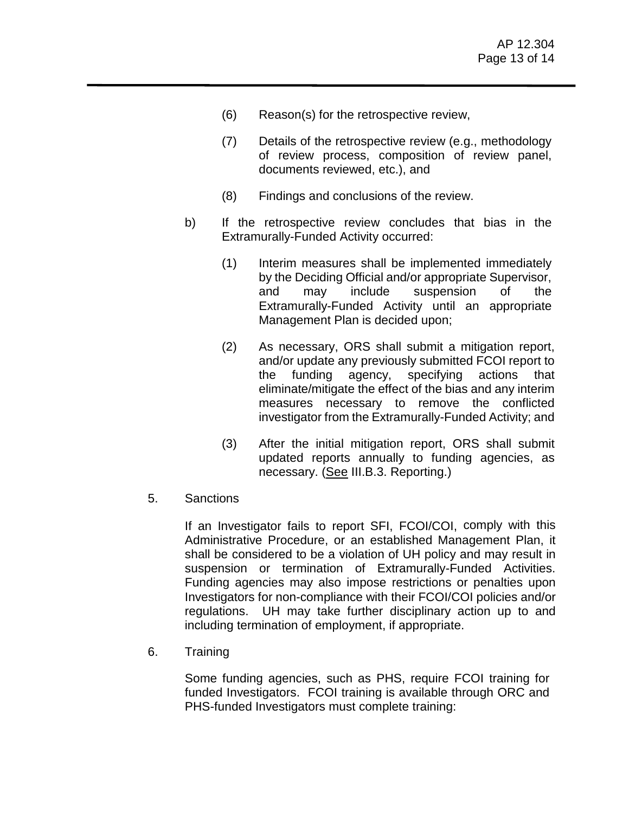- (6) Reason(s) for the retrospective review,
- (7) Details of the retrospective review (e.g., methodology of review process, composition of review panel, documents reviewed, etc.), and
- (8) Findings and conclusions of the review.
- b) If the retrospective review concludes that bias in the Extramurally-Funded Activity occurred:
	- (1) Interim measures shall be implemented immediately by the Deciding Official and/or appropriate Supervisor, and may include suspension of the Extramurally-Funded Activity until an appropriate Management Plan is decided upon;
	- (2) As necessary, ORS shall submit a mitigation report, and/or update any previously submitted FCOI report to the funding agency, specifying actions that eliminate/mitigate the effect of the bias and any interim measures necessary to remove the conflicted investigator from the Extramurally-Funded Activity; and
	- (3) After the initial mitigation report, ORS shall submit updated reports annually to funding agencies, as necessary. (See III.B.3. Reporting.)
- 5. Sanctions

If an Investigator fails to report SFI, FCOI/COI, comply with this Administrative Procedure, or an established Management Plan, it shall be considered to be a violation of UH policy and may result in suspension or termination of Extramurally-Funded Activities. Funding agencies may also impose restrictions or penalties upon Investigators for non-compliance with their FCOI/COI policies and/or regulations. UH may take further disciplinary action up to and including termination of employment, if appropriate.

6. Training

Some funding agencies, such as PHS, require FCOI training for funded Investigators. FCOI training is available through ORC and PHS-funded Investigators must complete training: